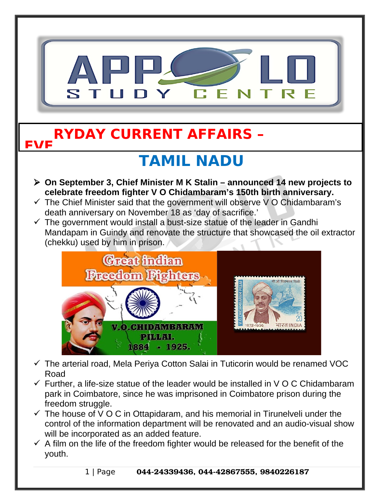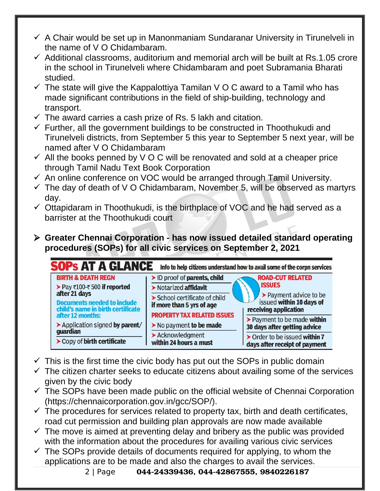- $\checkmark$  A Chair would be set up in Manonmaniam Sundaranar University in Tirunelveli in the name of V O Chidambaram.
- $\checkmark$  Additional classrooms, auditorium and memorial arch will be built at Rs.1.05 crore in the school in Tirunelveli where Chidambaram and poet Subramania Bharati studied.
- $\checkmark$  The state will give the Kappalottiya Tamilan V O C award to a Tamil who has made significant contributions in the field of ship-building, technology and transport.
- $\checkmark$  The award carries a cash prize of Rs. 5 lakh and citation.
- $\checkmark$  Further, all the government buildings to be constructed in Thoothukudi and Tirunelveli districts, from September 5 this year to September 5 next year, will be named after V O Chidambaram
- $\checkmark$  All the books penned by V O C will be renovated and sold at a cheaper price through Tamil Nadu Text Book Corporation
- $\checkmark$  An online conference on VOC would be arranged through Tamil University.
- $\checkmark$  The day of death of V O Chidambaram, November 5, will be observed as martyrs day.
- $\checkmark$  Ottapidaram in Thoothukudi, is the birthplace of VOC and he had served as a barrister at the Thoothukudi court
- **Greater Chennai Corporation has now issued detailed standard operating procedures (SOPs) for all civic services on September 2, 2021**



- $\checkmark$  This is the first time the civic body has put out the SOPs in public domain
- $\checkmark$  The citizen charter seeks to educate citizens about availing some of the services given by the civic body
- $\checkmark$  The SOPs have been made public on the official website of Chennai Corporation (https://chennaicorporation.gov.in/gcc/SOP/).
- $\checkmark$  The procedures for services related to property tax, birth and death certificates, road cut permission and building plan approvals are now made available
- $\checkmark$  The move is aimed at preventing delay and bribery as the public was provided with the information about the procedures for availing various civic services
- $\checkmark$  The SOPs provide details of documents required for applying, to whom the applications are to be made and also the charges to avail the services.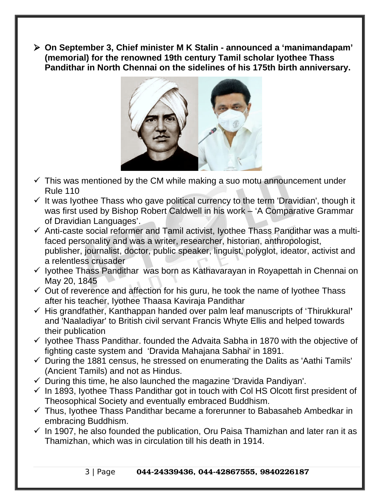**On September 3, Chief minister M K Stalin - announced a 'manimandapam' (memorial) for the renowned 19th century Tamil scholar Iyothee Thass Pandithar in North Chennai on the sidelines of his 175th birth anniversary.** 



- $\checkmark$  This was mentioned by the CM while making a suo motu announcement under Rule 110
- $\checkmark$  It was Iyothee Thass who gave political currency to the term 'Dravidian', though it was first used by Bishop Robert Caldwell in his work – 'A Comparative Grammar of Dravidian Languages'.
- $\checkmark$  Anti-caste social reformer and Tamil activist, Iyothee Thass Pandithar was a multifaced personality and was a writer, researcher, historian, anthropologist, publisher, journalist, doctor, public speaker, linguist, polyglot, ideator, activist and a relentless crusader
- $\checkmark$  lyothee Thass Pandithar was born as Kathavarayan in Royapettah in Chennai on May 20, 1845
- $\checkmark$  Out of reverence and affection for his guru, he took the name of lyothee Thass after his teacher, Iyothee Thaasa Kaviraja Pandithar
- His grandfather, Kanthappan handed over palm leaf manuscripts of 'Thirukkural**'** and 'Naaladiyar' to British civil servant Francis Whyte Ellis and helped towards their publication
- $\checkmark$  Iyothee Thass Pandithar. founded the Advaita Sabha in 1870 with the objective of fighting caste system and 'Dravida Mahajana Sabhai' in 1891.
- $\checkmark$  During the 1881 census, he stressed on enumerating the Dalits as 'Aathi Tamils' (Ancient Tamils) and not as Hindus.
- $\checkmark$  During this time, he also launched the magazine 'Dravida Pandiyan'.
- $\checkmark$  In 1893, Iyothee Thass Pandithar got in touch with Col HS Olcott first president of Theosophical Society and eventually embraced Buddhism.
- $\checkmark$  Thus, Iyothee Thass Pandithar became a forerunner to Babasaheb Ambedkar in embracing Buddhism.
- $\checkmark$  In 1907, he also founded the publication, Oru Paisa Thamizhan and later ran it as Thamizhan, which was in circulation till his death in 1914.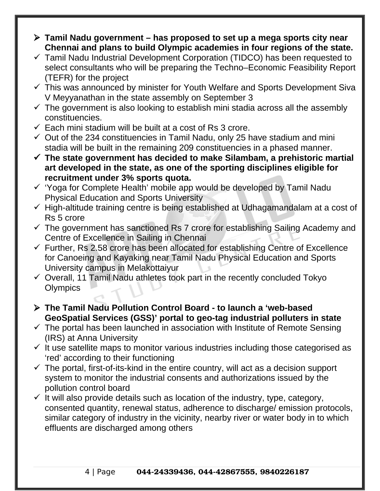- **Tamil Nadu government has proposed to set up a mega sports city near Chennai and plans to build Olympic academies in four regions of the state.**
- $\checkmark$  Tamil Nadu Industrial Development Corporation (TIDCO) has been requested to select consultants who will be preparing the Techno–Economic Feasibility Report (TEFR) for the project
- $\checkmark$  This was announced by minister for Youth Welfare and Sports Development Siva V Meyyanathan in the state assembly on September 3
- $\checkmark$  The government is also looking to establish mini stadia across all the assembly constituencies.
- $\checkmark$  Each mini stadium will be built at a cost of Rs 3 crore.
- $\checkmark$  Out of the 234 constituencies in Tamil Nadu, only 25 have stadium and mini stadia will be built in the remaining 209 constituencies in a phased manner.
- **The state government has decided to make Silambam, a prehistoric martial art developed in the state, as one of the sporting disciplines eligible for recruitment under 3% sports quota.**
- $\checkmark$  'Yoga for Complete Health' mobile app would be developed by Tamil Nadu Physical Education and Sports University
- $\checkmark$  High-altitude training centre is being established at Udhagamandalam at a cost of Rs 5 crore
- $\checkmark$  The government has sanctioned Rs 7 crore for establishing Sailing Academy and Centre of Excellence in Sailing in Chennai
- $\checkmark$  Further, Rs 2.58 crore has been allocated for establishing Centre of Excellence for Canoeing and Kayaking near Tamil Nadu Physical Education and Sports University campus in Melakottaiyur
- $\checkmark$  Overall, 11 Tamil Nadu athletes took part in the recently concluded Tokyo **Olympics**
- **The Tamil Nadu Pollution Control Board to launch a 'web-based GeoSpatial Services (GSS)' portal to geo-tag industrial polluters in state**
- $\checkmark$  The portal has been launched in association with Institute of Remote Sensing (IRS) at Anna University
- $\checkmark$  It use satellite maps to monitor various industries including those categorised as 'red' according to their functioning
- $\checkmark$  The portal, first-of-its-kind in the entire country, will act as a decision support system to monitor the industrial consents and authorizations issued by the pollution control board
- $\checkmark$  It will also provide details such as location of the industry, type, category, consented quantity, renewal status, adherence to discharge/ emission protocols, similar category of industry in the vicinity, nearby river or water body in to which effluents are discharged among others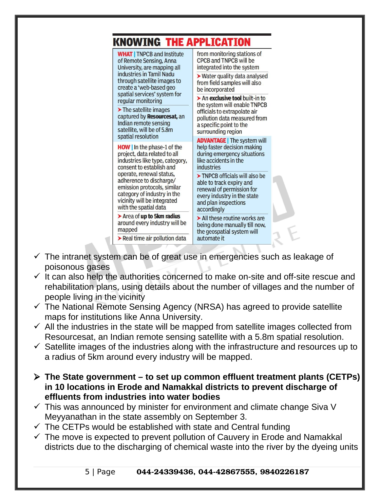| KNOWING THE APPLICATION                                                                                                                                                   |                                                                                                                                                               |  |
|---------------------------------------------------------------------------------------------------------------------------------------------------------------------------|---------------------------------------------------------------------------------------------------------------------------------------------------------------|--|
| <b>WHAT</b>   TNPCB and Institute<br>of Remote Sensing, Anna<br>University, are mapping all                                                                               | from monitoring stations of<br>CPCB and TNPCB will be<br>integrated into the system                                                                           |  |
| industries in Tamil Nadu<br>through satellite images to<br>create a 'web-based geo<br>spatial services' system for                                                        | ▶ Water quality data analysed<br>from field samples will also<br>be incorporated                                                                              |  |
| regular monitoring                                                                                                                                                        | > An exclusive tool built-in to<br>the system will enable TNPCB                                                                                               |  |
| $\blacktriangleright$ The satellite images<br>captured by Resourcesat, an<br>Indian remote sensing<br>satellite, will be of 5.8m<br>spatial resolution                    | officials to extrapolate air<br>pollution data measured from<br>a specific point to the<br>surrounding region                                                 |  |
| <b>HOW</b> In the phase-1 of the                                                                                                                                          | <b>ADVANTAGE</b>   The system will<br>help faster decision making                                                                                             |  |
| project, data related to all<br>industries like type, category,<br>consent to establish and                                                                               | during emergency situations<br>like accidents in the<br>industries                                                                                            |  |
| operate, renewal status,<br>adherence to discharge/<br>emission protocols, similar<br>category of industry in the<br>vicinity will be integrated<br>with the spatial data | > TNPCB officials will also be<br>able to track expiry and<br>renewal of permission for<br>every industry in the state<br>and plan inspections<br>accordingly |  |
| > Area of up to 5km radius<br>around every industry will be<br>mapped                                                                                                     | $\triangleright$ All these routine works are<br>being done manually till now,<br>the geospatial system will                                                   |  |
| Real time air pollution data                                                                                                                                              | automate it                                                                                                                                                   |  |

- $\checkmark$  The intranet system can be of great use in emergencies such as leakage of poisonous gases
- $\checkmark$  It can also help the authorities concerned to make on-site and off-site rescue and rehabilitation plans, using details about the number of villages and the number of people living in the vicinity
- $\checkmark$  The National Remote Sensing Agency (NRSA) has agreed to provide satellite maps for institutions like Anna University.
- $\checkmark$  All the industries in the state will be mapped from satellite images collected from Resourcesat, an Indian remote sensing satellite with a 5.8m spatial resolution.
- $\checkmark$  Satellite images of the industries along with the infrastructure and resources up to a radius of 5km around every industry will be mapped.
- **The State government to set up common effluent treatment plants (CETPs) in 10 locations in Erode and Namakkal districts to prevent discharge of effluents from industries into water bodies**
- $\checkmark$  This was announced by minister for environment and climate change Siva V Meyyanathan in the state assembly on September 3.
- $\checkmark$  The CETPs would be established with state and Central funding
- $\checkmark$  The move is expected to prevent pollution of Cauvery in Erode and Namakkal districts due to the discharging of chemical waste into the river by the dyeing units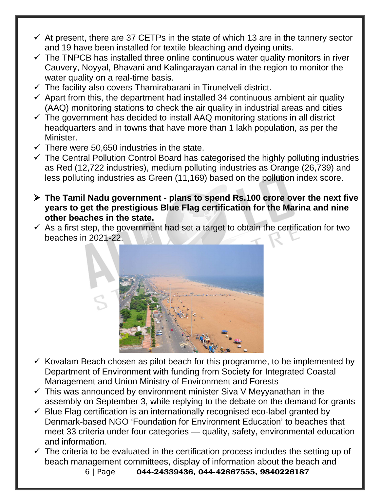- $\checkmark$  At present, there are 37 CETPs in the state of which 13 are in the tannery sector and 19 have been installed for textile bleaching and dyeing units.
- $\checkmark$  The TNPCB has installed three online continuous water quality monitors in river Cauvery, Noyyal, Bhavani and Kalingarayan canal in the region to monitor the water quality on a real-time basis.
- $\checkmark$  The facility also covers Thamirabarani in Tirunelveli district.
- $\checkmark$  Apart from this, the department had installed 34 continuous ambient air quality (AAQ) monitoring stations to check the air quality in industrial areas and cities
- $\checkmark$  The government has decided to install AAQ monitoring stations in all district headquarters and in towns that have more than 1 lakh population, as per the Minister.
- $\checkmark$  There were 50,650 industries in the state.
- $\checkmark$  The Central Pollution Control Board has categorised the highly polluting industries as Red (12,722 industries), medium polluting industries as Orange (26,739) and less polluting industries as Green (11,169) based on the pollution index score.
- **The Tamil Nadu government plans to spend Rs.100 crore over the next five years to get the prestigious Blue Flag certification for the Marina and nine other beaches in the state.**
- $\checkmark$  As a first step, the government had set a target to obtain the certification for two beaches in 2021-22.



- $\checkmark$  Kovalam Beach chosen as pilot beach for this programme, to be implemented by Department of Environment with funding from Society for Integrated Coastal Management and Union Ministry of Environment and Forests
- $\checkmark$  This was announced by environment minister Siva V Meyyanathan in the assembly on September 3, while replying to the debate on the demand for grants
- $\checkmark$  Blue Flag certification is an internationally recognised eco-label granted by Denmark-based NGO 'Foundation for Environment Education' to beaches that meet 33 criteria under four categories — quality, safety, environmental education and information.
- $\checkmark$  The criteria to be evaluated in the certification process includes the setting up of beach management committees, display of information about the beach and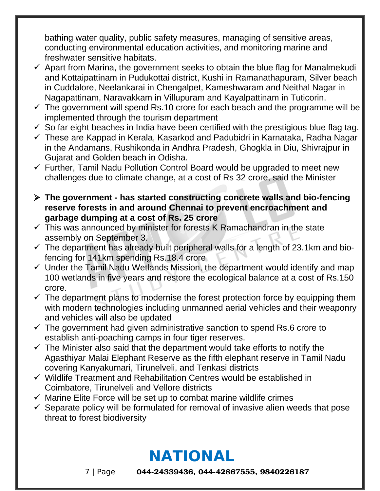bathing water quality, public safety measures, managing of sensitive areas, conducting environmental education activities, and monitoring marine and freshwater sensitive habitats.

- $\checkmark$  Apart from Marina, the government seeks to obtain the blue flag for Manalmekudi and Kottaipattinam in Pudukottai district, Kushi in Ramanathapuram, Silver beach in Cuddalore, Neelankarai in Chengalpet, Kameshwaram and Neithal Nagar in Nagapattinam, Naravakkam in Villupuram and Kayalpattinam in Tuticorin.
- $\checkmark$  The government will spend Rs.10 crore for each beach and the programme will be implemented through the tourism department
- $\checkmark$  So far eight beaches in India have been certified with the prestigious blue flag tag.
- $\checkmark$  These are Kappad in Kerala, Kasarkod and Padubidri in Karnataka, Radha Nagar in the Andamans, Rushikonda in Andhra Pradesh, Ghogkla in Diu, Shivrajpur in Gujarat and Golden beach in Odisha.
- $\checkmark$  Further, Tamil Nadu Pollution Control Board would be upgraded to meet new challenges due to climate change, at a cost of Rs 32 crore, said the Minister
- **The government has started constructing concrete walls and bio-fencing reserve forests in and around Chennai to prevent encroachment and garbage dumping at a cost of Rs. 25 crore**
- $\checkmark$  This was announced by minister for forests K Ramachandran in the state assembly on September 3.
- $\checkmark$  The department has already built peripheral walls for a length of 23.1km and biofencing for 141km spending Rs.18.4 crore
- $\checkmark$  Under the Tamil Nadu Wetlands Mission, the department would identify and map 100 wetlands in five years and restore the ecological balance at a cost of Rs.150 crore.
- $\checkmark$  The department plans to modernise the forest protection force by equipping them with modern technologies including unmanned aerial vehicles and their weaponry and vehicles will also be updated
- $\checkmark$  The government had given administrative sanction to spend Rs.6 crore to establish anti-poaching camps in four tiger reserves.
- $\checkmark$  The Minister also said that the department would take efforts to notify the Agasthiyar Malai Elephant Reserve as the fifth elephant reserve in Tamil Nadu covering Kanyakumari, Tirunelveli, and Tenkasi districts
- $\checkmark$  Wildlife Treatment and Rehabilitation Centres would be established in Coimbatore, Tirunelveli and Vellore districts
- $\checkmark$  Marine Elite Force will be set up to combat marine wildlife crimes
- $\checkmark$  Separate policy will be formulated for removal of invasive alien weeds that pose threat to forest biodiversity

## **NATIONAL**

7 | Page 044-24339436, 044-42867555, 9840226187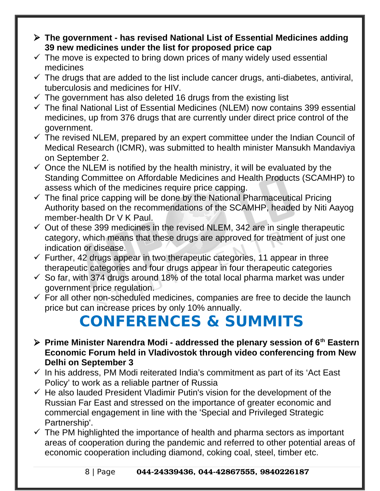- **The government has revised National List of Essential Medicines adding 39 new medicines under the list for proposed price cap**
- $\checkmark$  The move is expected to bring down prices of many widely used essential medicines
- $\checkmark$  The drugs that are added to the list include cancer drugs, anti-diabetes, antiviral, tuberculosis and medicines for HIV.
- $\checkmark$  The government has also deleted 16 drugs from the existing list
- $\checkmark$  The final National List of Essential Medicines (NLEM) now contains 399 essential medicines, up from 376 drugs that are currently under direct price control of the government.
- $\checkmark$  The revised NLEM, prepared by an expert committee under the Indian Council of Medical Research (ICMR), was submitted to health minister Mansukh Mandaviya on September 2.
- $\checkmark$  Once the NLEM is notified by the health ministry, it will be evaluated by the Standing Committee on Affordable Medicines and Health Products (SCAMHP) to assess which of the medicines require price capping.
- $\checkmark$  The final price capping will be done by the National Pharmaceutical Pricing Authority based on the recommendations of the SCAMHP, headed by Niti Aayog member-health Dr V K Paul.
- $\checkmark$  Out of these 399 medicines in the revised NLEM, 342 are in single therapeutic category, which means that these drugs are approved for treatment of just one indication or disease.
- $\checkmark$  Further, 42 drugs appear in two therapeutic categories, 11 appear in three therapeutic categories and four drugs appear in four therapeutic categories
- $\checkmark$  So far, with 374 drugs around 18% of the total local pharma market was under government price regulation.
- $\checkmark$  For all other non-scheduled medicines, companies are free to decide the launch price but can increase prices by only 10% annually.

## **CONFERENCES & SUMMITS**

- **Prime Minister Narendra Modi addressed the plenary session of 6th Eastern Economic Forum held in Vladivostok through video conferencing from New Delhi on September 3**
- $\checkmark$  In his address, PM Modi reiterated India's commitment as part of its 'Act East Policy' to work as a reliable partner of Russia
- $\checkmark$  He also lauded President Vladimir Putin's vision for the development of the Russian Far East and stressed on the importance of greater economic and commercial engagement in line with the 'Special and Privileged Strategic Partnership'.
- $\checkmark$  The PM highlighted the importance of health and pharma sectors as important areas of cooperation during the pandemic and referred to other potential areas of economic cooperation including diamond, coking coal, steel, timber etc.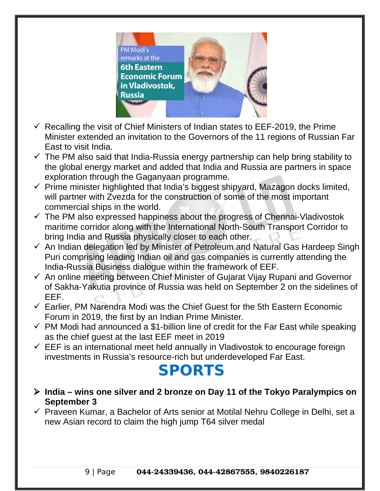

- $\checkmark$  Recalling the visit of Chief Ministers of Indian states to EEF-2019, the Prime Minister extended an invitation to the Governors of the 11 regions of Russian Far East to visit India.
- $\checkmark$  The PM also said that India-Russia energy partnership can help bring stability to the global energy market and added that India and Russia are partners in space exploration through the Gaganyaan programme.
- $\checkmark$  Prime minister highlighted that India's biggest shipyard, Mazagon docks limited, will partner with Zvezda for the construction of some of the most important commercial ships in the world.
- $\checkmark$  The PM also expressed happiness about the progress of Chennai-Vladivostok maritime corridor along with the International North-South Transport Corridor to bring India and Russia physically closer to each other.
- $\checkmark$  An Indian delegation led by Minister of Petroleum and Natural Gas Hardeep Singh Puri comprising leading Indian oil and gas companies is currently attending the India-Russia Business dialogue within the framework of EEF.
- $\checkmark$  An online meeting between Chief Minister of Gujarat Vijay Rupani and Governor of Sakha-Yakutia province of Russia was held on September 2 on the sidelines of EEF.
- $\checkmark$  Earlier, PM Narendra Modi was the Chief Guest for the 5th Eastern Economic Forum in 2019, the first by an Indian Prime Minister.
- $\checkmark$  PM Modi had announced a \$1-billion line of credit for the Far East while speaking as the chief guest at the last EEF meet in 2019
- $\checkmark$  EEF is an international meet held annually in Vladivostok to encourage foreign investments in Russia's resource-rich but underdeveloped Far East.

## **SPORTS**

- **India wins one silver and 2 bronze on Day 11 of the Tokyo Paralympics on September 3**
- $\checkmark$  Praveen Kumar, a Bachelor of Arts senior at Motilal Nehru College in Delhi, set a new Asian record to claim the high jump T64 silver medal